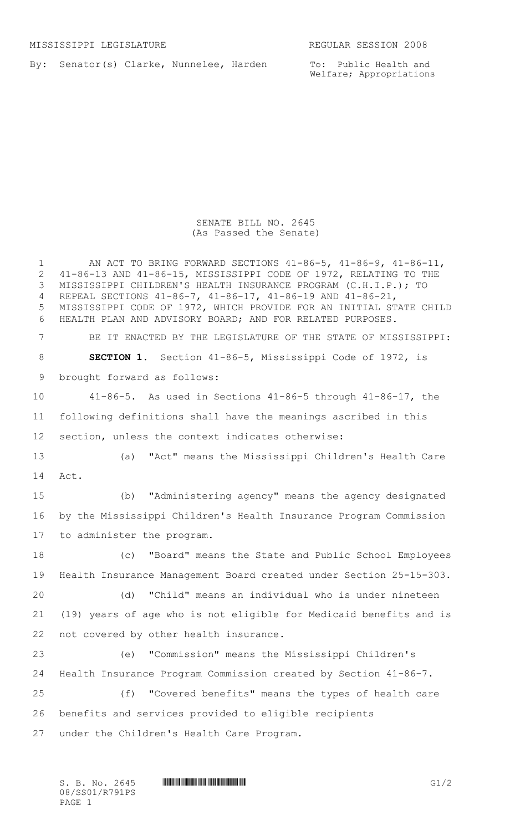By: Senator(s) Clarke, Nunnelee, Harden

To: Public Health and Welfare; Appropriations

## SENATE BILL NO. 2645 (As Passed the Senate)

| $\mathbf 1$<br>$\mathbf{2}$<br>3<br>4<br>5<br>6 | AN ACT TO BRING FORWARD SECTIONS $41-86-5$ , $41-86-9$ , $41-86-11$ ,<br>41-86-13 AND 41-86-15, MISSISSIPPI CODE OF 1972, RELATING TO THE<br>MISSISSIPPI CHILDREN'S HEALTH INSURANCE PROGRAM (C.H.I.P.); TO<br>REPEAL SECTIONS 41-86-7, 41-86-17, 41-86-19 AND 41-86-21,<br>MISSISSIPPI CODE OF 1972, WHICH PROVIDE FOR AN INITIAL STATE CHILD<br>HEALTH PLAN AND ADVISORY BOARD; AND FOR RELATED PURPOSES. |
|-------------------------------------------------|-------------------------------------------------------------------------------------------------------------------------------------------------------------------------------------------------------------------------------------------------------------------------------------------------------------------------------------------------------------------------------------------------------------|
| $7\phantom{.0}$                                 | BE IT ENACTED BY THE LEGISLATURE OF THE STATE OF MISSISSIPPI:                                                                                                                                                                                                                                                                                                                                               |
| 8                                               | <b>SECTION 1.</b> Section 41-86-5, Mississippi Code of 1972, is                                                                                                                                                                                                                                                                                                                                             |
| 9                                               | brought forward as follows:                                                                                                                                                                                                                                                                                                                                                                                 |
| 10                                              | $41-86-5$ . As used in Sections $41-86-5$ through $41-86-17$ , the                                                                                                                                                                                                                                                                                                                                          |
| 11                                              | following definitions shall have the meanings ascribed in this                                                                                                                                                                                                                                                                                                                                              |
| 12                                              | section, unless the context indicates otherwise:                                                                                                                                                                                                                                                                                                                                                            |
| 13                                              | (a) "Act" means the Mississippi Children's Health Care                                                                                                                                                                                                                                                                                                                                                      |
| 14                                              | Act.                                                                                                                                                                                                                                                                                                                                                                                                        |
| 15                                              | "Administering agency" means the agency designated<br>(b)                                                                                                                                                                                                                                                                                                                                                   |
| 16                                              | by the Mississippi Children's Health Insurance Program Commission                                                                                                                                                                                                                                                                                                                                           |
| 17                                              | to administer the program.                                                                                                                                                                                                                                                                                                                                                                                  |
| 18                                              | "Board" means the State and Public School Employees<br>(C)                                                                                                                                                                                                                                                                                                                                                  |
| 19                                              | Health Insurance Management Board created under Section 25-15-303.                                                                                                                                                                                                                                                                                                                                          |
| 20                                              | (d) "Child" means an individual who is under nineteen                                                                                                                                                                                                                                                                                                                                                       |
| 21                                              | (19) years of age who is not eligible for Medicaid benefits and is                                                                                                                                                                                                                                                                                                                                          |
| 22                                              | not covered by other health insurance.                                                                                                                                                                                                                                                                                                                                                                      |
| 23                                              | "Commission" means the Mississippi Children's<br>(e)                                                                                                                                                                                                                                                                                                                                                        |
| 24                                              | Health Insurance Program Commission created by Section 41-86-7.                                                                                                                                                                                                                                                                                                                                             |
| 25                                              | "Covered benefits" means the types of health care<br>(f)                                                                                                                                                                                                                                                                                                                                                    |
| 26                                              | benefits and services provided to eligible recipients                                                                                                                                                                                                                                                                                                                                                       |
| 27                                              | under the Children's Health Care Program.                                                                                                                                                                                                                                                                                                                                                                   |

 $S. B. No. 2645$  **INNIFICAL PROPERTY ASSESSED FOR A SET AND A** G1/2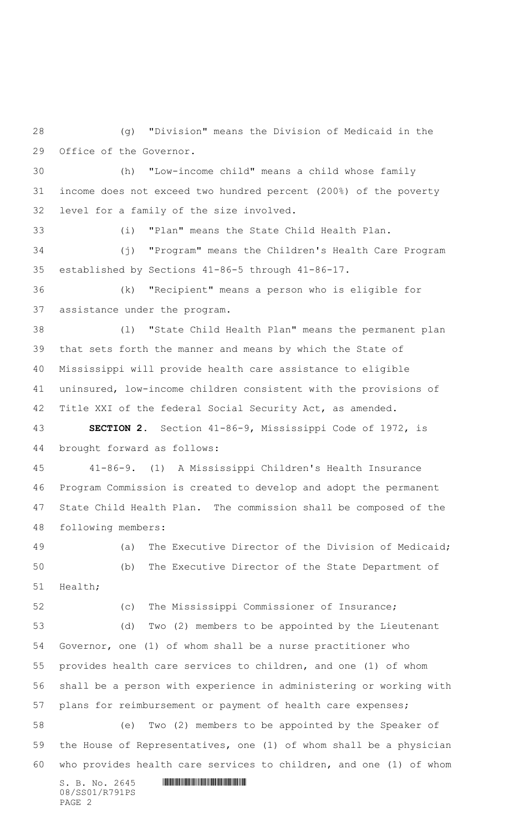(g) "Division" means the Division of Medicaid in the Office of the Governor.

 (h) "Low-income child" means a child whose family income does not exceed two hundred percent (200%) of the poverty level for a family of the size involved.

(i) "Plan" means the State Child Health Plan.

 (j) "Program" means the Children's Health Care Program established by Sections 41-86-5 through 41-86-17.

 (k) "Recipient" means a person who is eligible for assistance under the program.

 (l) "State Child Health Plan" means the permanent plan that sets forth the manner and means by which the State of Mississippi will provide health care assistance to eligible uninsured, low-income children consistent with the provisions of Title XXI of the federal Social Security Act, as amended.

 **SECTION 2.** Section 41-86-9, Mississippi Code of 1972, is brought forward as follows:

 41-86-9. (1) A Mississippi Children's Health Insurance Program Commission is created to develop and adopt the permanent State Child Health Plan. The commission shall be composed of the following members:

 (a) The Executive Director of the Division of Medicaid; (b) The Executive Director of the State Department of Health;

(c) The Mississippi Commissioner of Insurance;

 (d) Two (2) members to be appointed by the Lieutenant Governor, one (1) of whom shall be a nurse practitioner who provides health care services to children, and one (1) of whom shall be a person with experience in administering or working with plans for reimbursement or payment of health care expenses; (e) Two (2) members to be appointed by the Speaker of the House of Representatives, one (1) of whom shall be a physician

who provides health care services to children, and one (1) of whom

 $S. B. No. 2645$  .  $M. 2645$ 08/SS01/R791PS PAGE 2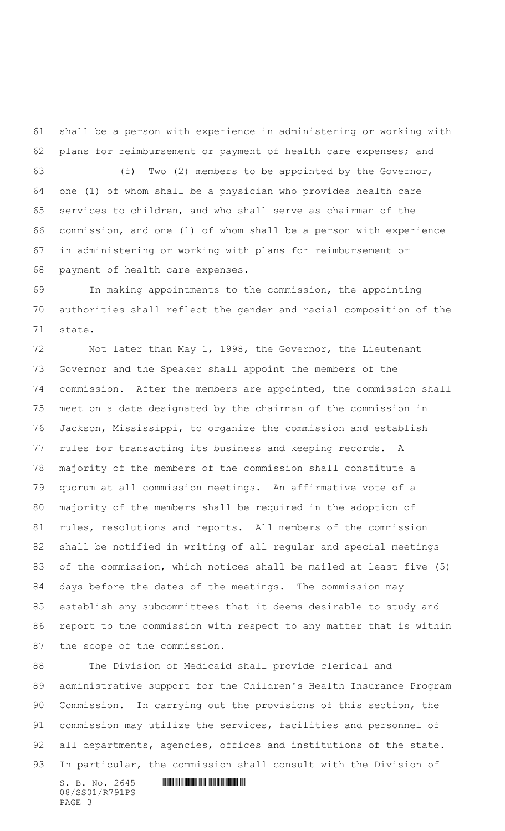shall be a person with experience in administering or working with 62 plans for reimbursement or payment of health care expenses; and

 (f) Two (2) members to be appointed by the Governor, one (1) of whom shall be a physician who provides health care services to children, and who shall serve as chairman of the commission, and one (1) of whom shall be a person with experience in administering or working with plans for reimbursement or payment of health care expenses.

 In making appointments to the commission, the appointing authorities shall reflect the gender and racial composition of the state.

 Not later than May 1, 1998, the Governor, the Lieutenant Governor and the Speaker shall appoint the members of the commission. After the members are appointed, the commission shall meet on a date designated by the chairman of the commission in Jackson, Mississippi, to organize the commission and establish rules for transacting its business and keeping records. A majority of the members of the commission shall constitute a quorum at all commission meetings. An affirmative vote of a majority of the members shall be required in the adoption of rules, resolutions and reports. All members of the commission shall be notified in writing of all regular and special meetings of the commission, which notices shall be mailed at least five (5) days before the dates of the meetings. The commission may establish any subcommittees that it deems desirable to study and report to the commission with respect to any matter that is within the scope of the commission.

 The Division of Medicaid shall provide clerical and administrative support for the Children's Health Insurance Program Commission. In carrying out the provisions of this section, the commission may utilize the services, facilities and personnel of 92 all departments, agencies, offices and institutions of the state. In particular, the commission shall consult with the Division of

 $S. B. No. 2645$  .  $M. 2645$ 08/SS01/R791PS PAGE 3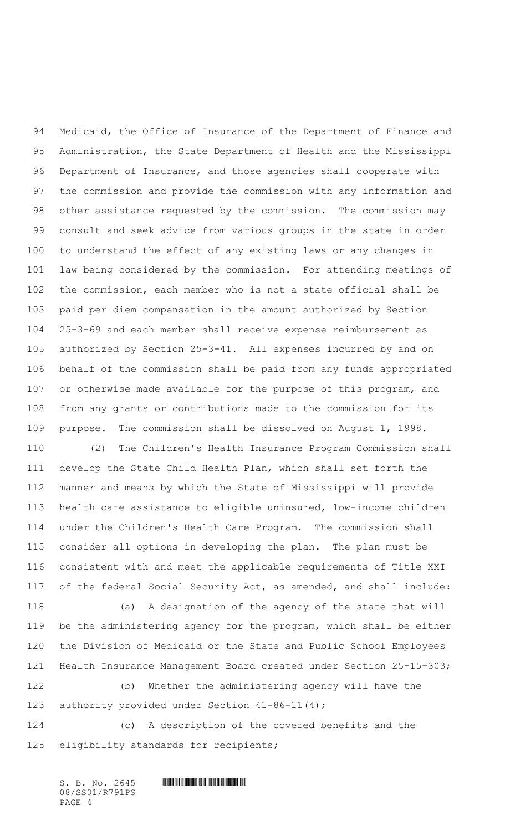Medicaid, the Office of Insurance of the Department of Finance and Administration, the State Department of Health and the Mississippi Department of Insurance, and those agencies shall cooperate with the commission and provide the commission with any information and other assistance requested by the commission. The commission may consult and seek advice from various groups in the state in order to understand the effect of any existing laws or any changes in law being considered by the commission. For attending meetings of the commission, each member who is not a state official shall be paid per diem compensation in the amount authorized by Section 25-3-69 and each member shall receive expense reimbursement as authorized by Section 25-3-41. All expenses incurred by and on behalf of the commission shall be paid from any funds appropriated or otherwise made available for the purpose of this program, and from any grants or contributions made to the commission for its purpose. The commission shall be dissolved on August 1, 1998.

 (2) The Children's Health Insurance Program Commission shall develop the State Child Health Plan, which shall set forth the manner and means by which the State of Mississippi will provide health care assistance to eligible uninsured, low-income children under the Children's Health Care Program. The commission shall consider all options in developing the plan. The plan must be consistent with and meet the applicable requirements of Title XXI of the federal Social Security Act, as amended, and shall include:

 (a) A designation of the agency of the state that will be the administering agency for the program, which shall be either the Division of Medicaid or the State and Public School Employees Health Insurance Management Board created under Section 25-15-303;

 (b) Whether the administering agency will have the authority provided under Section 41-86-11(4);

 (c) A description of the covered benefits and the eligibility standards for recipients;

 $S. B. No. 2645$  **HIMPLE FOR EXAMPLE FOR A SET AND FOR A SET AND FOR A SET AND FOR A SET AND FOR A SET AND FOR A SET AND FOR A SET AND FOR A SET AND FOR A SET AND FOR A SET AND FOR A SET AND FOR A SET AND FOR A SET AND FOR A** 08/SS01/R791PS PAGE 4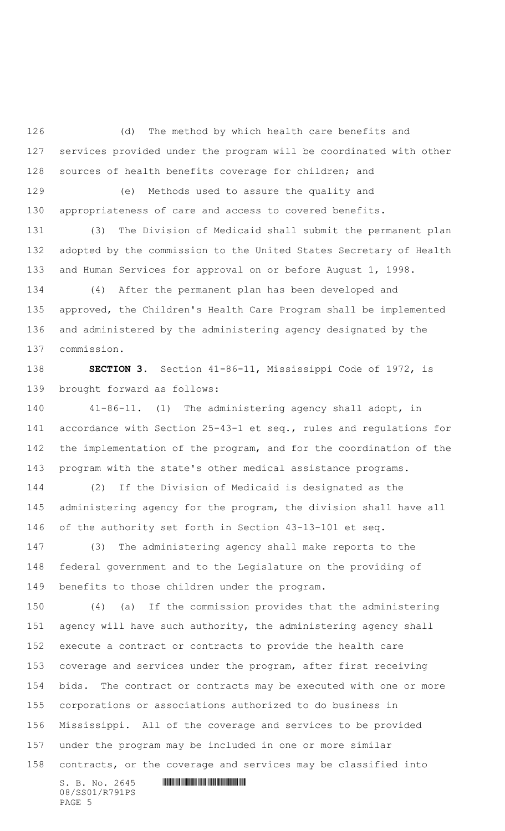(d) The method by which health care benefits and services provided under the program will be coordinated with other sources of health benefits coverage for children; and

 (e) Methods used to assure the quality and appropriateness of care and access to covered benefits.

 (3) The Division of Medicaid shall submit the permanent plan adopted by the commission to the United States Secretary of Health and Human Services for approval on or before August 1, 1998.

 (4) After the permanent plan has been developed and approved, the Children's Health Care Program shall be implemented and administered by the administering agency designated by the commission.

 **SECTION 3.** Section 41-86-11, Mississippi Code of 1972, is brought forward as follows:

 41-86-11. (1) The administering agency shall adopt, in accordance with Section 25-43-1 et seq., rules and regulations for 142 the implementation of the program, and for the coordination of the program with the state's other medical assistance programs.

 (2) If the Division of Medicaid is designated as the administering agency for the program, the division shall have all of the authority set forth in Section 43-13-101 et seq.

 (3) The administering agency shall make reports to the federal government and to the Legislature on the providing of benefits to those children under the program.

 (4) (a) If the commission provides that the administering 151 agency will have such authority, the administering agency shall execute a contract or contracts to provide the health care coverage and services under the program, after first receiving bids. The contract or contracts may be executed with one or more corporations or associations authorized to do business in Mississippi. All of the coverage and services to be provided under the program may be included in one or more similar contracts, or the coverage and services may be classified into

08/SS01/R791PS PAGE 5

 $S. B. No. 2645$  .  $M. 2645$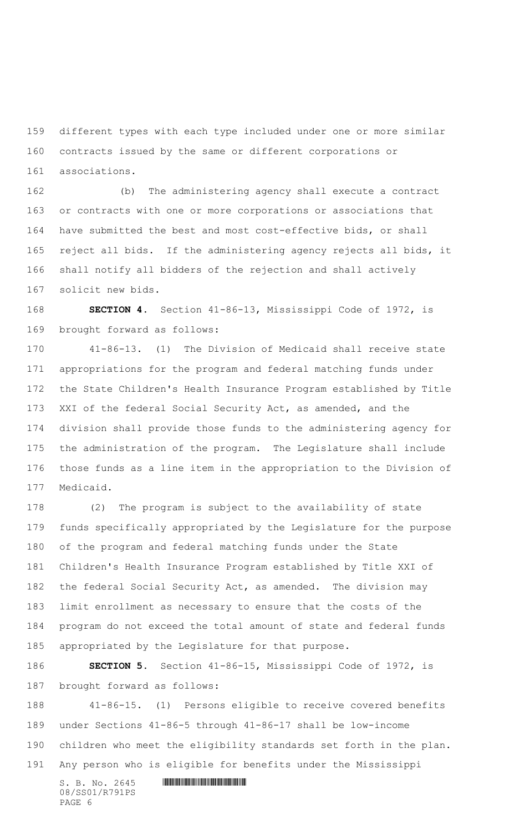different types with each type included under one or more similar contracts issued by the same or different corporations or associations.

 (b) The administering agency shall execute a contract or contracts with one or more corporations or associations that have submitted the best and most cost-effective bids, or shall reject all bids. If the administering agency rejects all bids, it shall notify all bidders of the rejection and shall actively solicit new bids.

 **SECTION 4.** Section 41-86-13, Mississippi Code of 1972, is brought forward as follows:

 41-86-13. (1) The Division of Medicaid shall receive state appropriations for the program and federal matching funds under the State Children's Health Insurance Program established by Title XXI of the federal Social Security Act, as amended, and the division shall provide those funds to the administering agency for the administration of the program. The Legislature shall include those funds as a line item in the appropriation to the Division of Medicaid.

 (2) The program is subject to the availability of state funds specifically appropriated by the Legislature for the purpose of the program and federal matching funds under the State Children's Health Insurance Program established by Title XXI of the federal Social Security Act, as amended. The division may limit enrollment as necessary to ensure that the costs of the program do not exceed the total amount of state and federal funds appropriated by the Legislature for that purpose.

 **SECTION 5.** Section 41-86-15, Mississippi Code of 1972, is brought forward as follows:

 41-86-15. (1) Persons eligible to receive covered benefits under Sections 41-86-5 through 41-86-17 shall be low-income children who meet the eligibility standards set forth in the plan. Any person who is eligible for benefits under the Mississippi

08/SS01/R791PS PAGE 6

## $S. B. No. 2645$  .  $M. 2645$